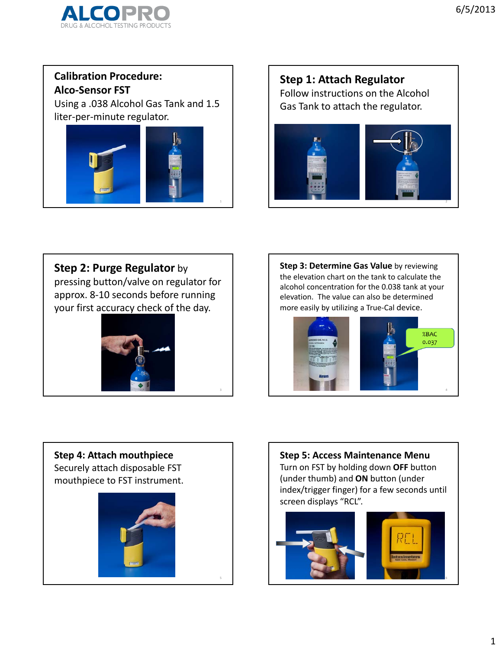

#### **Calibration Procedure: Alco‐Sensor FST**

Using a .038 Alcohol Gas Tank and 1.5 liter‐per‐minute regulator.



### **Step 1: Attach Regulator** Follow instructions on the Alcohol Gas Tank to attach the regulator.



**Step 2: Purge Regulator** by

pressing button/valve on regulator for approx. 8‐10 seconds before running your first accuracy check of the day.



**Step 3: Determine Gas Value** by reviewing the elevation chart on the tank to calculate the alcohol concentration for the 0.038 tank at your elevation. The value can also be determined more easily by utilizing a True‐Cal device.



# **Step 4: Attach mouthpiece** Securely attach disposable FST mouthpiece to FST instrument.



**Step 5: Access Maintenance Menu** Turn on FST by holding down **OFF** button (under thumb) and **ON** button (under index/trigger finger) for a few seconds until screen displays "RCL".

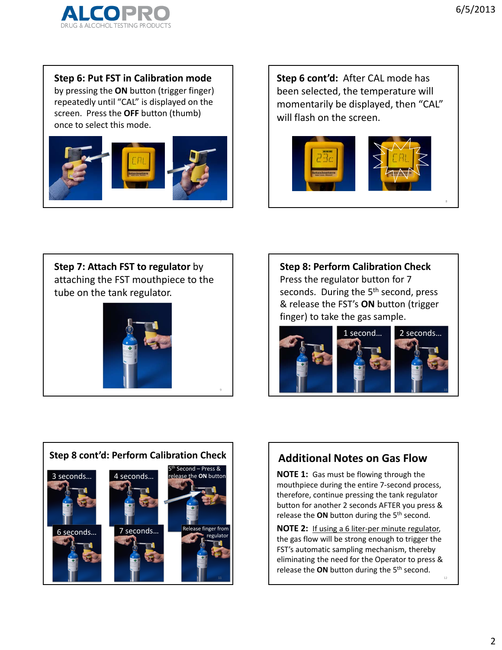

**Step 6: Put FST in Calibration mode**

by pressing the **ON** button (trigger finger) repeatedly until "CAL" is displayed on the screen. Press the **OFF** button (thumb) once to select this mode.



**Step 6 cont'd:** After CAL mode has been selected, the temperature will momentarily be displayed, then "CAL" will flash on the screen.



**Step 7: Attach FST to regulator** by attaching the FST mouthpiece to the tube on the tank regulator.



9

**Step 8: Perform Calibration Check** Press the regulator button for 7 seconds. During the 5<sup>th</sup> second, press & release the FST's **ON** button (trigger finger) to take the gas sample.





### **Additional Notes on Gas Flow**

**NOTE 1:** Gas must be flowing through the mouthpiece during the entire 7‐second process, therefore, continue pressing the tank regulator button for another 2 seconds AFTER you press & release the **ON** button during the 5th second.

**NOTE 2:** If using a 6 liter‐per minute regulator, the gas flow will be strong enough to trigger the FST's automatic sampling mechanism, thereby eliminating the need for the Operator to press & release the **ON** button during the 5th second.

12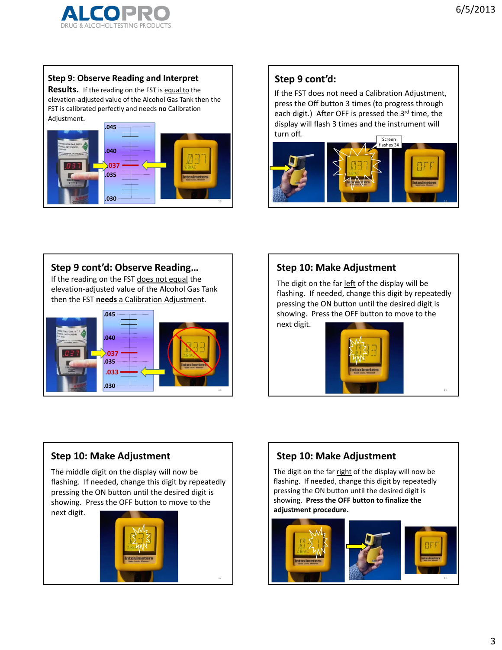#### **Step 9: Observe Reading and Interpret**

**Results.** If the reading on the FST is equal to the elevation‐adjusted value of the Alcohol Gas Tank then the FST is calibrated perfectly and needs **no** Calibration Adjustment.



### **Step 9 cont'd:**

If the FST does not need a Calibration Adjustment, press the Off button 3 times (to progress through each digit.) After OFF is pressed the 3rd time, the display will flash 3 times and the instrument will turn off. Screen



#### **Step 9 cont'd: Observe Reading…**

If the reading on the FST does not equal the elevation‐adjusted value of the Alcohol Gas Tank then the FST **needs** a Calibration Adjustment.



#### **Step 10: Make Adjustment**

The digit on the far left of the display will be flashing. If needed, change this digit by repeatedly pressing the ON button until the desired digit is showing. Press the OFF button to move to the next digit.



16

#### **Step 10: Make Adjustment**

The middle digit on the display will now be flashing. If needed, change this digit by repeatedly pressing the ON button until the desired digit is showing. Press the OFF button to move to the

next digit.



### **Step 10: Make Adjustment**

The digit on the far right of the display will now be flashing. If needed, change this digit by repeatedly pressing the ON button until the desired digit is showing. **Press the OFF button to finalize the adjustment procedure.**